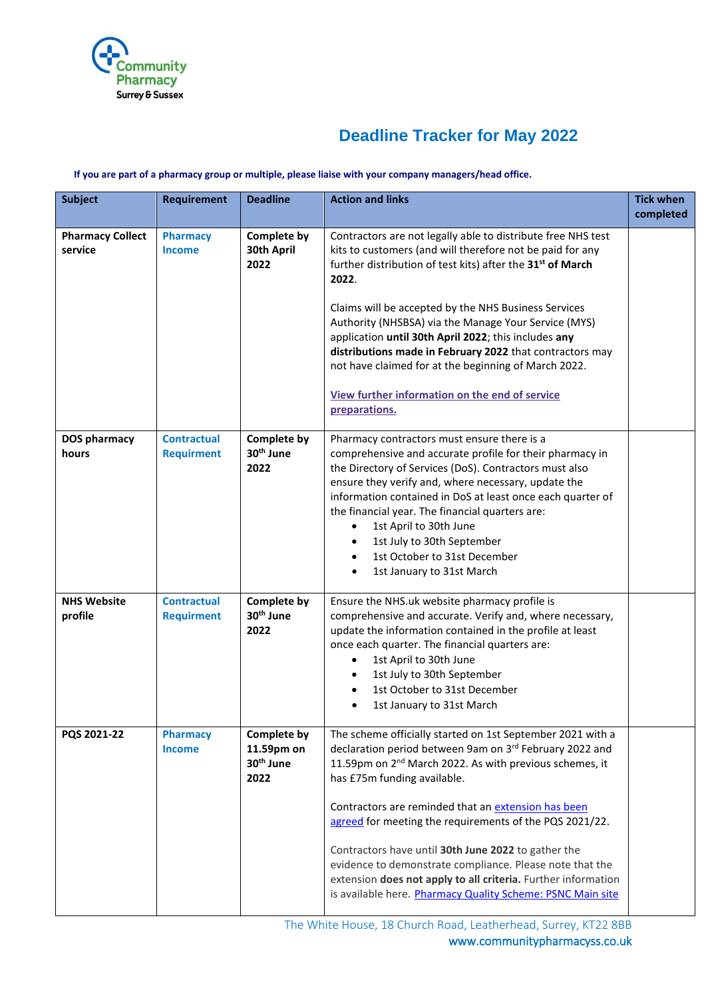

## **Deadline Tracker for May 2022**

## **If you are part of a pharmacy group or multiple, please liaise with your company managers/head office.**

| <b>Requirement</b>                      | <b>Deadline</b>                                            | <b>Action and links</b>                                                                                                                                                                                                                                                                                                                                                                                                                                                                                                           | <b>Tick when</b><br>completed                                                                                                                                        |
|-----------------------------------------|------------------------------------------------------------|-----------------------------------------------------------------------------------------------------------------------------------------------------------------------------------------------------------------------------------------------------------------------------------------------------------------------------------------------------------------------------------------------------------------------------------------------------------------------------------------------------------------------------------|----------------------------------------------------------------------------------------------------------------------------------------------------------------------|
| <b>Pharmacy</b><br><b>Income</b>        | Complete by<br>30th April<br>2022                          | Contractors are not legally able to distribute free NHS test<br>kits to customers (and will therefore not be paid for any<br>further distribution of test kits) after the 31 <sup>st</sup> of March<br>2022.                                                                                                                                                                                                                                                                                                                      |                                                                                                                                                                      |
|                                         |                                                            | Authority (NHSBSA) via the Manage Your Service (MYS)<br>application until 30th April 2022; this includes any<br>distributions made in February 2022 that contractors may<br>not have claimed for at the beginning of March 2022.                                                                                                                                                                                                                                                                                                  |                                                                                                                                                                      |
|                                         |                                                            | preparations.                                                                                                                                                                                                                                                                                                                                                                                                                                                                                                                     |                                                                                                                                                                      |
| <b>Contractual</b><br><b>Requirment</b> | Complete by<br>30 <sup>th</sup> June<br>2022               | Pharmacy contractors must ensure there is a<br>comprehensive and accurate profile for their pharmacy in<br>the Directory of Services (DoS). Contractors must also<br>ensure they verify and, where necessary, update the<br>information contained in DoS at least once each quarter of<br>the financial year. The financial quarters are:<br>1st April to 30th June<br>1st July to 30th September<br>$\bullet$<br>1st October to 31st December<br>$\bullet$<br>1st January to 31st March<br>$\bullet$                             |                                                                                                                                                                      |
| <b>Contractual</b><br><b>Requirment</b> | Complete by<br>30 <sup>th</sup> June<br>2022               | Ensure the NHS.uk website pharmacy profile is<br>comprehensive and accurate. Verify and, where necessary,<br>update the information contained in the profile at least<br>once each quarter. The financial quarters are:<br>1st April to 30th June<br>$\bullet$<br>1st July to 30th September<br>$\bullet$<br>1st October to 31st December<br>$\bullet$<br>1st January to 31st March<br>$\bullet$                                                                                                                                  |                                                                                                                                                                      |
| <b>Pharmacy</b><br><b>Income</b>        | Complete by<br>11.59pm on<br>30 <sup>th</sup> June<br>2022 | The scheme officially started on 1st September 2021 with a<br>declaration period between 9am on 3rd February 2022 and<br>11.59pm on 2 <sup>nd</sup> March 2022. As with previous schemes, it<br>has £75m funding available.<br>Contractors are reminded that an extension has been<br>agreed for meeting the requirements of the PQS 2021/22.<br>Contractors have until 30th June 2022 to gather the<br>evidence to demonstrate compliance. Please note that the<br>extension does not apply to all criteria. Further information |                                                                                                                                                                      |
|                                         |                                                            |                                                                                                                                                                                                                                                                                                                                                                                                                                                                                                                                   | Claims will be accepted by the NHS Business Services<br>View further information on the end of service<br>is available here. Pharmacy Quality Scheme: PSNC Main site |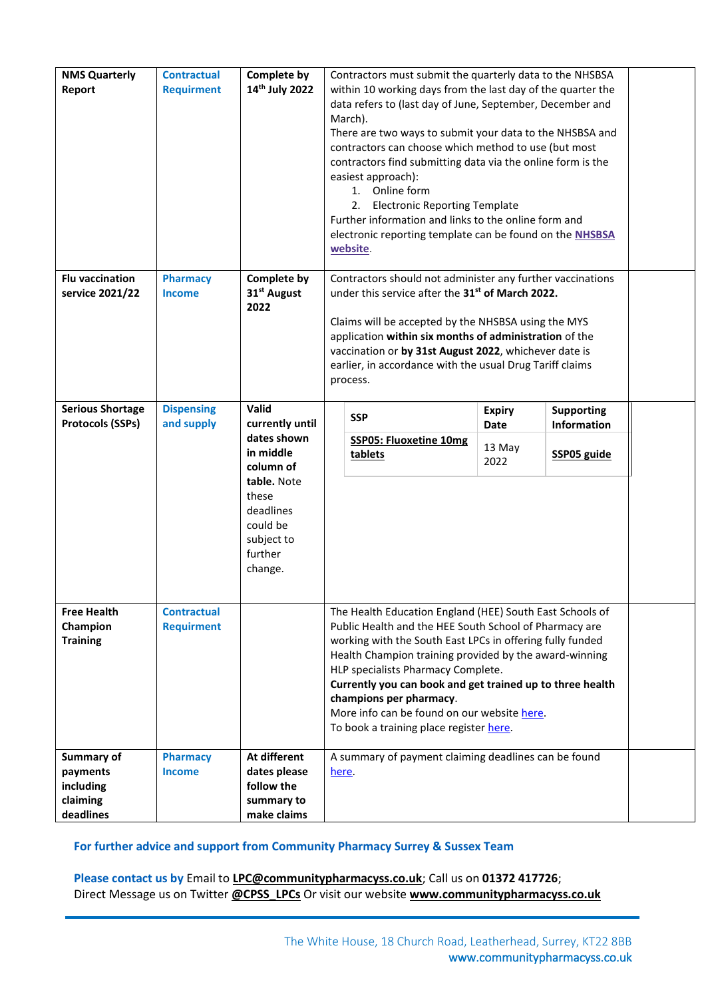| <b>NMS Quarterly</b><br>Report            | <b>Contractual</b><br><b>Requirment</b> | Complete by<br>14 <sup>th</sup> July 2022                                         |                                                                                                                                                                                                                                                                                                                                                                                                       | Contractors must submit the quarterly data to the NHSBSA<br>within 10 working days from the last day of the quarter the<br>data refers to (last day of June, September, December and<br>March).<br>There are two ways to submit your data to the NHSBSA and<br>contractors can choose which method to use (but most<br>contractors find submitting data via the online form is the<br>easiest approach):<br>1. Online form<br>2. Electronic Reporting Template<br>Further information and links to the online form and<br>electronic reporting template can be found on the NHSBSA<br>website. |                |                    |  |  |  |  |
|-------------------------------------------|-----------------------------------------|-----------------------------------------------------------------------------------|-------------------------------------------------------------------------------------------------------------------------------------------------------------------------------------------------------------------------------------------------------------------------------------------------------------------------------------------------------------------------------------------------------|------------------------------------------------------------------------------------------------------------------------------------------------------------------------------------------------------------------------------------------------------------------------------------------------------------------------------------------------------------------------------------------------------------------------------------------------------------------------------------------------------------------------------------------------------------------------------------------------|----------------|--------------------|--|--|--|--|
| <b>Flu vaccination</b><br>service 2021/22 | <b>Pharmacy</b><br><b>Income</b>        | Complete by<br>31 <sup>st</sup> August<br>2022                                    | Contractors should not administer any further vaccinations<br>under this service after the 31 <sup>st</sup> of March 2022.<br>Claims will be accepted by the NHSBSA using the MYS<br>application within six months of administration of the<br>vaccination or by 31st August 2022, whichever date is<br>earlier, in accordance with the usual Drug Tariff claims<br>process.                          |                                                                                                                                                                                                                                                                                                                                                                                                                                                                                                                                                                                                |                |                    |  |  |  |  |
| <b>Serious Shortage</b>                   | <b>Dispensing</b>                       | Valid                                                                             |                                                                                                                                                                                                                                                                                                                                                                                                       | <b>SSP</b>                                                                                                                                                                                                                                                                                                                                                                                                                                                                                                                                                                                     | <b>Expiry</b>  | <b>Supporting</b>  |  |  |  |  |
| <b>Protocols (SSPs)</b>                   | and supply                              | currently until<br>dates shown                                                    |                                                                                                                                                                                                                                                                                                                                                                                                       | <b>SSP05: Fluoxetine 10mg</b>                                                                                                                                                                                                                                                                                                                                                                                                                                                                                                                                                                  | Date           | <b>Information</b> |  |  |  |  |
|                                           |                                         | in middle<br>column of                                                            |                                                                                                                                                                                                                                                                                                                                                                                                       | tablets                                                                                                                                                                                                                                                                                                                                                                                                                                                                                                                                                                                        | 13 May<br>2022 | <b>SSP05 guide</b> |  |  |  |  |
|                                           |                                         | table. Note<br>these<br>deadlines<br>could be<br>subject to<br>further<br>change. |                                                                                                                                                                                                                                                                                                                                                                                                       |                                                                                                                                                                                                                                                                                                                                                                                                                                                                                                                                                                                                |                |                    |  |  |  |  |
| <b>Free Health</b>                        | <b>Contractual</b>                      |                                                                                   | The Health Education England (HEE) South East Schools of                                                                                                                                                                                                                                                                                                                                              |                                                                                                                                                                                                                                                                                                                                                                                                                                                                                                                                                                                                |                |                    |  |  |  |  |
| Champion<br><b>Training</b>               | <b>Requirment</b>                       |                                                                                   | Public Health and the HEE South School of Pharmacy are<br>working with the South East LPCs in offering fully funded<br>Health Champion training provided by the award-winning<br>HLP specialists Pharmacy Complete.<br>Currently you can book and get trained up to three health<br>champions per pharmacy.<br>More info can be found on our website here.<br>To book a training place register here. |                                                                                                                                                                                                                                                                                                                                                                                                                                                                                                                                                                                                |                |                    |  |  |  |  |
| Summary of                                | <b>Pharmacy</b>                         | At different                                                                      |                                                                                                                                                                                                                                                                                                                                                                                                       | A summary of payment claiming deadlines can be found                                                                                                                                                                                                                                                                                                                                                                                                                                                                                                                                           |                |                    |  |  |  |  |
| payments                                  | <b>Income</b>                           | dates please                                                                      |                                                                                                                                                                                                                                                                                                                                                                                                       | here.                                                                                                                                                                                                                                                                                                                                                                                                                                                                                                                                                                                          |                |                    |  |  |  |  |
| including                                 |                                         | follow the                                                                        |                                                                                                                                                                                                                                                                                                                                                                                                       |                                                                                                                                                                                                                                                                                                                                                                                                                                                                                                                                                                                                |                |                    |  |  |  |  |
| claiming<br>deadlines                     |                                         | summary to<br>make claims                                                         |                                                                                                                                                                                                                                                                                                                                                                                                       |                                                                                                                                                                                                                                                                                                                                                                                                                                                                                                                                                                                                |                |                    |  |  |  |  |
|                                           |                                         |                                                                                   |                                                                                                                                                                                                                                                                                                                                                                                                       |                                                                                                                                                                                                                                                                                                                                                                                                                                                                                                                                                                                                |                |                    |  |  |  |  |

## **For further advice and support from Community Pharmacy Surrey & Sussex Team**

**Please contact us by** Email to **[LPC@communitypharmacyss.co.uk](mailto:LPC@communitypharmacyss.co.uk)**; Call us on **[01372 417726](tel:01372%20417726)**; Direct Message us on Twitter **[@CPSS\\_LPCs](https://twitter.com/CPSS_LPCs)** Or visit our website **[www.communitypharmacyss.co.uk](http://www.communitypharmacyss.co.uk/)**